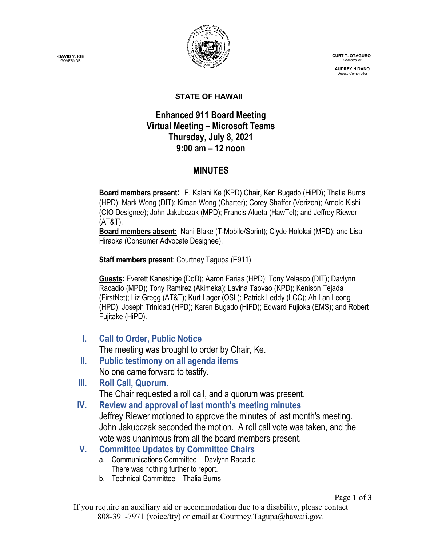

 **CURT T. OTAGURO** Comptrol

 **AUDREY HIDANO** Deputy Comptrolle

#### **STATE OF HAWAII**

### **Enhanced 911 Board Meeting Virtual Meeting – Microsoft Teams Thursday, July 8, 2021 9:00 am – 12 noon**

# **MINUTES**

**Board members present:** E. Kalani Ke (KPD) Chair, Ken Bugado (HiPD); Thalia Burns (HPD); Mark Wong (DIT); Kiman Wong (Charter); Corey Shaffer (Verizon); Arnold Kishi (CIO Designee); John Jakubczak (MPD); Francis Alueta (HawTel); and Jeffrey Riewer (AT&T).

**Board members absent:** Nani Blake (T-Mobile/Sprint); Clyde Holokai (MPD); and Lisa Hiraoka (Consumer Advocate Designee).

**Staff members present**: Courtney Tagupa (E911)

**Guests:** Everett Kaneshige (DoD); Aaron Farias (HPD); Tony Velasco (DIT); Davlynn Racadio (MPD); Tony Ramirez (Akimeka); Lavina Taovao (KPD); Kenison Tejada (FirstNet); Liz Gregg (AT&T); Kurt Lager (OSL); Patrick Leddy (LCC); Ah Lan Leong (HPD); Joseph Trinidad (HPD); Karen Bugado (HiFD); Edward Fujioka (EMS); and Robert Fujitake (HiPD).

**I. Call to Order, Public Notice**

The meeting was brought to order by Chair, Ke.

**II. Public testimony on all agenda items** No one came forward to testify.

**III. Roll Call, Quorum.** The Chair requested a roll call, and a quorum was present.

- **IV. Review and approval of last month's meeting minutes** Jeffrey Riewer motioned to approve the minutes of last month's meeting. John Jakubczak seconded the motion. A roll call vote was taken, and the vote was unanimous from all the board members present.
- **V. Committee Updates by Committee Chairs**
	- a. Communications Committee Davlynn Racadio There was nothing further to report.
	- b. Technical Committee Thalia Burns

**-DAVID Y. IGE GOVERNOR**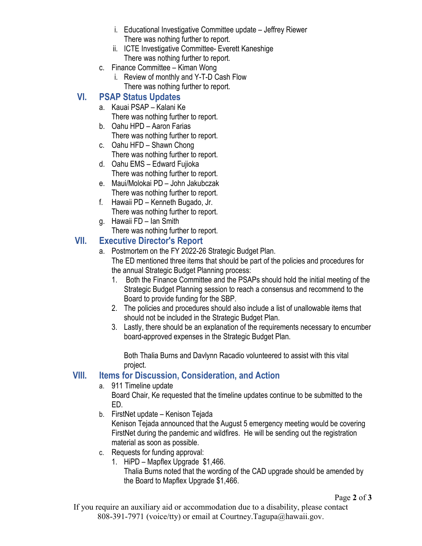- i. Educational Investigative Committee update Jeffrey Riewer There was nothing further to report.
- ii. ICTE Investigative Committee- Everett Kaneshige There was nothing further to report.
- c. Finance Committee Kiman Wong
	- i. Review of monthly and Y-T-D Cash Flow There was nothing further to report.

## **VI. PSAP Status Updates**

- a. Kauai PSAP Kalani Ke There was nothing further to report.
- b. Oahu HPD Aaron Farias There was nothing further to report.
- c. Oahu HFD Shawn Chong There was nothing further to report.
- d. Oahu EMS Edward Fujioka There was nothing further to report.
- e. Maui/Molokai PD John Jakubczak There was nothing further to report.
- f. Hawaii PD Kenneth Bugado, Jr. There was nothing further to report.
- g. Hawaii FD Ian Smith There was nothing further to report.

### **VII. Executive Director's Report**

- a. Postmortem on the FY 2022-26 Strategic Budget Plan. The ED mentioned three items that should be part of the policies and procedures for the annual Strategic Budget Planning process:
	- 1. Both the Finance Committee and the PSAPs should hold the initial meeting of the Strategic Budget Planning session to reach a consensus and recommend to the Board to provide funding for the SBP.
	- 2. The policies and procedures should also include a list of unallowable items that should not be included in the Strategic Budget Plan.
	- 3. Lastly, there should be an explanation of the requirements necessary to encumber board-approved expenses in the Strategic Budget Plan.

Both Thalia Burns and Davlynn Racadio volunteered to assist with this vital project.

### **VIII. Items for Discussion, Consideration, and Action**

#### a. 911 Timeline update

Board Chair, Ke requested that the timeline updates continue to be submitted to the ED.

- b. FirstNet update Kenison Tejada Kenison Tejada announced that the August 5 emergency meeting would be covering FirstNet during the pandemic and wildfires. He will be sending out the registration material as soon as possible.
- c. Requests for funding approval:
	- 1. HiPD Mapflex Upgrade \$1,466.

Thalia Burns noted that the wording of the CAD upgrade should be amended by the Board to Mapflex Upgrade \$1,466.

Page **2** of **3**

If you require an auxiliary aid or accommodation due to a disability, please contact 808-391-7971 (voice/tty) or email at Courtney.Tagupa@hawaii.gov.